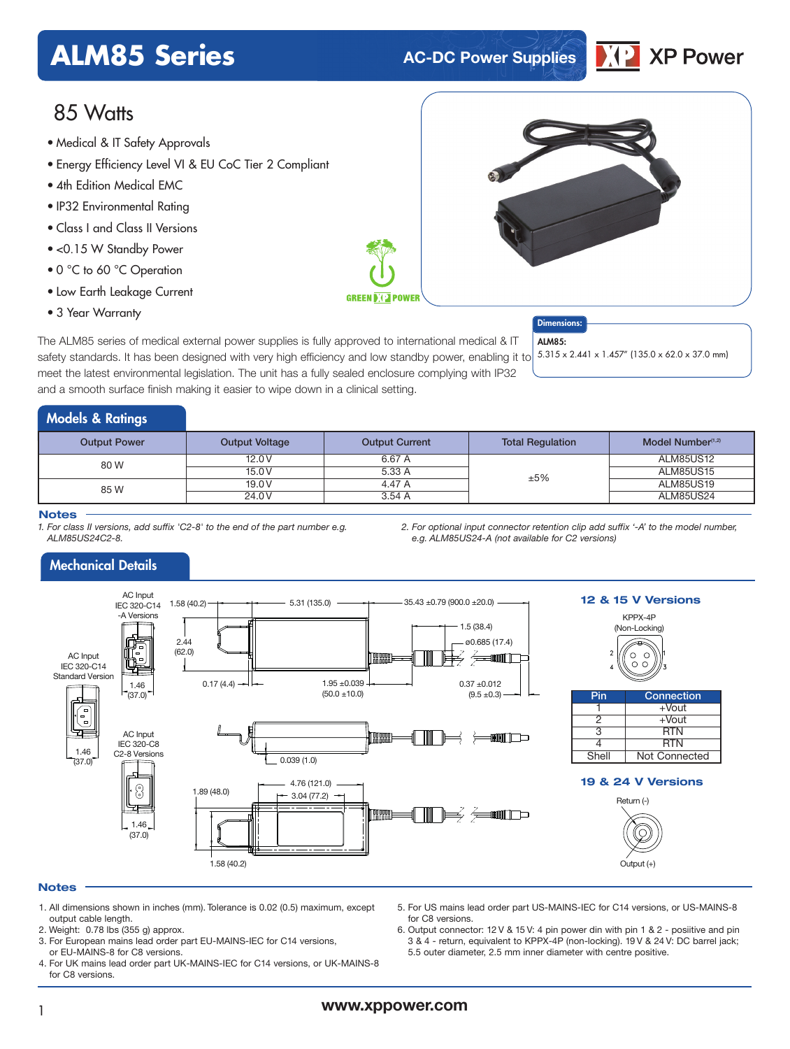## **ALM85 Series AC-DC Power Supplies**



### 85 Watts

- Medical & IT Safety Approvals
- Energy Efficiency Level VI & EU CoC Tier 2 Compliant
- 4th Edition Medical EMC
- IP32 Environmental Rating
- Class I and Class II Versions
- <0.15 W Standby Power
- 0 °C to 60 °C Operation
- Low Earth Leakage Current
- 3 Year Warranty

The ALM85 series of medical external power supplies is fully approved to international medical & IT safety standards. It has been designed with very high efficiency and low standby power, enabling it to meet the latest environmental legislation. The unit has a fully sealed enclosure complying with IP32 and a smooth surface finish making it easier to wipe down in a clinical setting.

#### Dimensions: ALM85.

5.315 x 2.441 x 1.457" (135.0 x 62.0 x 37.0 mm)

### Models & Ratings

| <b>Output Power</b> | <b>Output Voltage</b> | <b>Output Current</b> | <b>Total Regulation</b> | Model Number $(1,2)$ |
|---------------------|-----------------------|-----------------------|-------------------------|----------------------|
| 80 W                | 12.0V                 | 6.67 A                |                         | <b>ALM85US12</b>     |
|                     | 15.0V                 | 5.33 A                | ±5%                     | <b>ALM85US15</b>     |
| 85 W                | 19.0V                 | 4.47 A                |                         | ALM85US19            |
|                     | 24.0V                 | 3.54A                 |                         | <b>ALM85US24</b>     |

#### **Notes**

*1. For class II versions, add suffix 'C2-8' to the end of the part number e.g. ALM85US24C2-8.*

*2. For optional input connector retention clip add suffix '-A' to the model number, e.g. ALM85US24-A (not available for C2 versions)*

#### Mechanical Details



#### **Notes**

- 1. All dimensions shown in inches (mm). Tolerance is 0.02 (0.5) maximum, except output cable length.
- 2. Weight: 0.78 lbs (355 g) approx.
- 3. For European mains lead order part EU-MAINS-IEC for C14 versions, or EU-MAINS-8 for C8 versions.
- 4. For UK mains lead order part UK-MAINS-IEC for C14 versions, or UK-MAINS-8 for C8 versions.
- 5. For US mains lead order part US-MAINS-IEC for C14 versions, or US-MAINS-8 for C8 versions.
- 6. Output connector: 12 V & 15 V: 4 pin power din with pin 1 & 2 posiitive and pin 3 & 4 - return, equivalent to KPPX-4P (non-locking). 19 V & 24 V: DC barrel jack; 5.5 outer diameter, 2.5 mm inner diameter with centre positive.

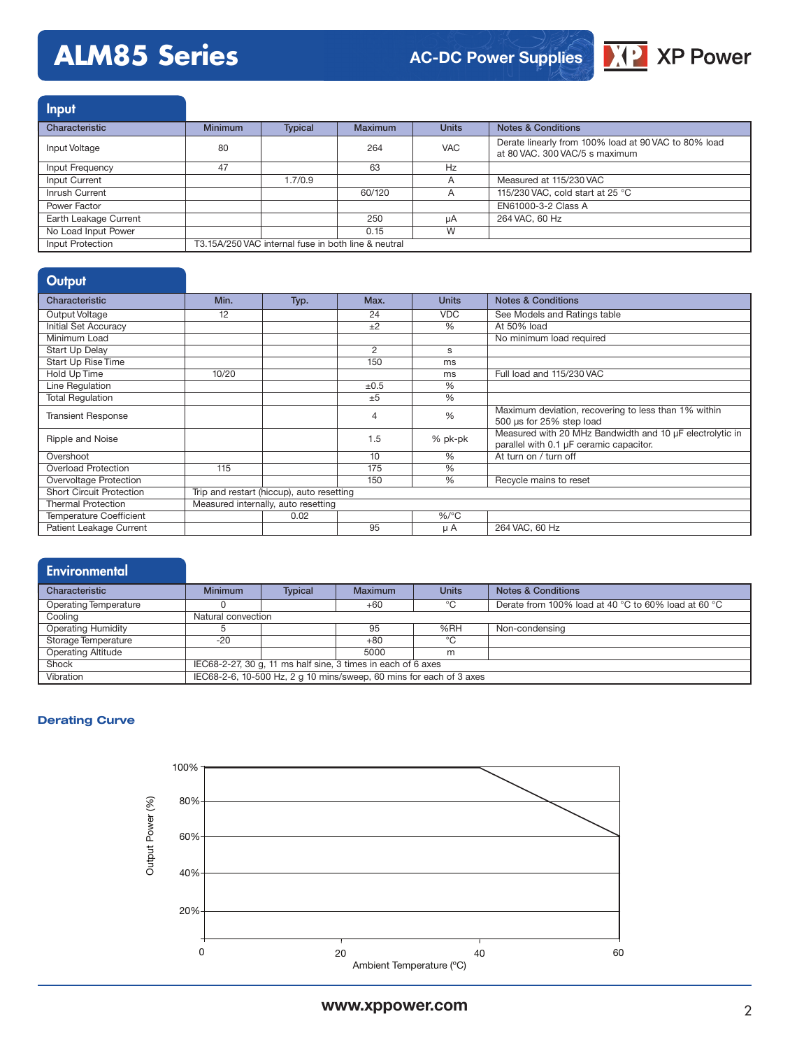## **ALM85 Series**

### **AC-DC Power Supplies**



| <b>Input</b>          |                                                     |                |                |                |                                                                                        |
|-----------------------|-----------------------------------------------------|----------------|----------------|----------------|----------------------------------------------------------------------------------------|
| Characteristic        | <b>Minimum</b>                                      | <b>Typical</b> | <b>Maximum</b> | <b>Units</b>   | <b>Notes &amp; Conditions</b>                                                          |
| Input Voltage         | 80                                                  |                | 264            | <b>VAC</b>     | Derate linearly from 100% load at 90 VAC to 80% load<br>at 80 VAC, 300 VAC/5 s maximum |
| Input Frequency       | 47                                                  |                | 63             | Hz             |                                                                                        |
| Input Current         |                                                     | 1.7/0.9        |                | A              | Measured at 115/230 VAC                                                                |
| Inrush Current        |                                                     |                | 60/120         | $\overline{A}$ | 115/230 VAC, cold start at 25 °C                                                       |
| Power Factor          |                                                     |                |                |                | EN61000-3-2 Class A                                                                    |
| Earth Leakage Current |                                                     |                | 250            | uA             | 264 VAC, 60 Hz                                                                         |
| No Load Input Power   |                                                     |                | 0.15           | W              |                                                                                        |
| Input Protection      | T3.15A/250 VAC internal fuse in both line & neutral |                |                |                |                                                                                        |

#### **Output**

| Characteristic                  | Min.                                      | Typ. | Max. | <b>Units</b>  | <b>Notes &amp; Conditions</b>                                                                       |  |
|---------------------------------|-------------------------------------------|------|------|---------------|-----------------------------------------------------------------------------------------------------|--|
| Output Voltage                  | 12                                        |      | 24   | <b>VDC</b>    | See Models and Ratings table                                                                        |  |
| <b>Initial Set Accuracy</b>     |                                           |      | ±2   | %             | At 50% load                                                                                         |  |
| Minimum Load                    |                                           |      |      |               | No minimum load required                                                                            |  |
| Start Up Delay                  |                                           |      | 2    | s             |                                                                                                     |  |
| Start Up Rise Time              |                                           |      | 150  | ms            |                                                                                                     |  |
| Hold Up Time                    | 10/20                                     |      |      | ms            | Full load and 115/230 VAC                                                                           |  |
| Line Regulation                 |                                           |      | ±0.5 | %             |                                                                                                     |  |
| <b>Total Requlation</b>         |                                           |      | ±5   | $\frac{0}{0}$ |                                                                                                     |  |
| <b>Transient Response</b>       |                                           |      | 4    | $\frac{0}{0}$ | Maximum deviation, recovering to less than 1% within<br>500 µs for 25% step load                    |  |
| Ripple and Noise                |                                           |      | 1.5  | % pk-pk       | Measured with 20 MHz Bandwidth and 10 µF electrolytic in<br>parallel with 0.1 µF ceramic capacitor. |  |
| Overshoot                       |                                           |      | 10   | $\frac{0}{0}$ | At turn on / turn off                                                                               |  |
| <b>Overload Protection</b>      | 115                                       |      | 175  | $\frac{0}{0}$ |                                                                                                     |  |
| Overvoltage Protection          |                                           |      | 150  | $\%$          | Recycle mains to reset                                                                              |  |
| <b>Short Circuit Protection</b> | Trip and restart (hiccup), auto resetting |      |      |               |                                                                                                     |  |
| <b>Thermal Protection</b>       | Measured internally, auto resetting       |      |      |               |                                                                                                     |  |
| <b>Temperature Coefficient</b>  |                                           | 0.02 |      | $\%$ /°C      |                                                                                                     |  |
| Patient Leakage Current         |                                           |      | 95   | μA            | 264 VAC, 60 Hz                                                                                      |  |

# **Environmental**

| Characteristic               | <b>Minimum</b>                                                      | <b>Typical</b> | Maximum | <b>Units</b> | <b>Notes &amp; Conditions</b>                       |
|------------------------------|---------------------------------------------------------------------|----------------|---------|--------------|-----------------------------------------------------|
| <b>Operating Temperature</b> |                                                                     |                | $+60$   | $\circ$      | Derate from 100% load at 40 °C to 60% load at 60 °C |
| Cooling                      | Natural convection                                                  |                |         |              |                                                     |
| <b>Operating Humidity</b>    |                                                                     |                | 95      | %RH          | Non-condensing                                      |
| Storage Temperature          | $-20$                                                               |                | $+80$   | $^{\circ}$ C |                                                     |
| <b>Operating Altitude</b>    |                                                                     |                | 5000    | m            |                                                     |
| Shock                        | IEC68-2-27, 30 g, 11 ms half sine, 3 times in each of 6 axes        |                |         |              |                                                     |
| Vibration                    | IEC68-2-6, 10-500 Hz, 2 g 10 mins/sweep, 60 mins for each of 3 axes |                |         |              |                                                     |

#### **Derating Curve**

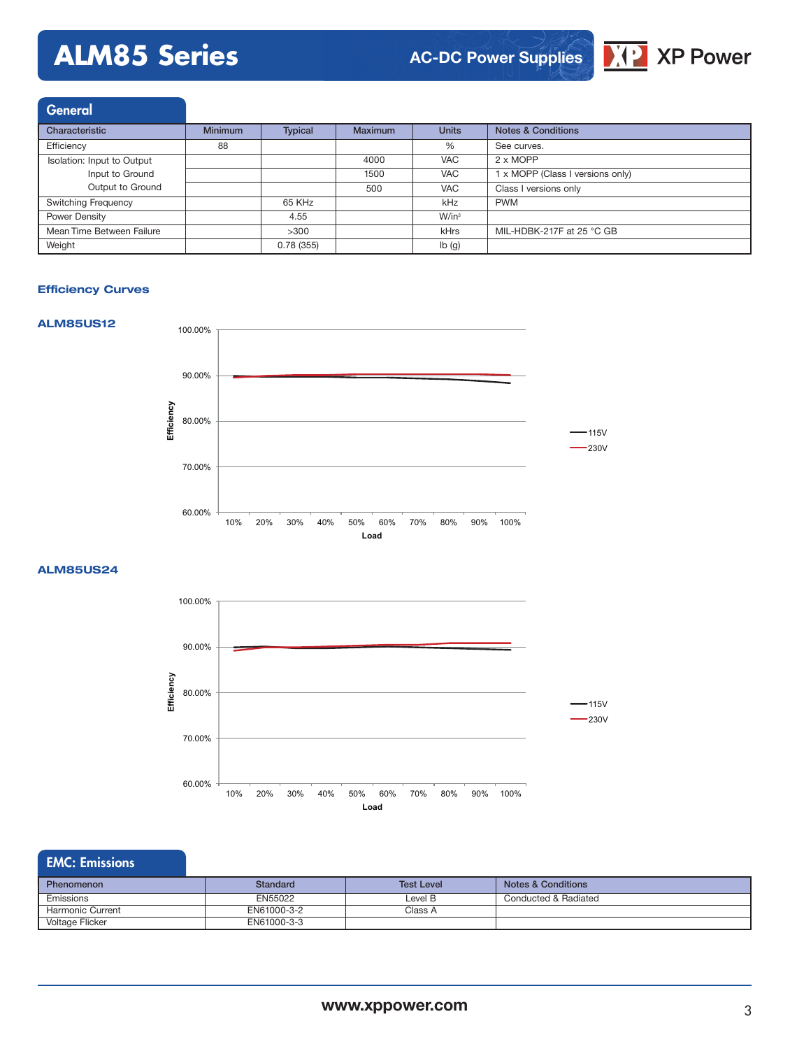## **ALM85 Series**

### **AC-DC Power Supplies**



| <b>General</b>             |                |                |                |              |                                  |
|----------------------------|----------------|----------------|----------------|--------------|----------------------------------|
| Characteristic             | <b>Minimum</b> | <b>Typical</b> | <b>Maximum</b> | <b>Units</b> | <b>Notes &amp; Conditions</b>    |
| Efficiency                 | 88             |                |                | %            | See curves.                      |
| Isolation: Input to Output |                |                | 4000           | <b>VAC</b>   | 2 x MOPP                         |
| Input to Ground            |                |                | 1500           | <b>VAC</b>   | 1 x MOPP (Class I versions only) |
| Output to Ground           |                |                | 500            | <b>VAC</b>   | Class I versions only            |
| <b>Switching Frequency</b> |                | 65 KHz         |                | kHz          | <b>PWM</b>                       |
| Power Density              |                | 4.55           |                | $W/in^3$     |                                  |
| Mean Time Between Failure  |                | >300           |                | kHrs         | MIL-HDBK-217F at 25 °C GB        |
| Weight                     |                | 0.78(355)      |                | Ib(g)        |                                  |

#### **Efficiency Curves**



**ALM85US24**



### EMC: Emissions

| Phenomenon              | Standard    | <b>Test Level</b> | <b>Notes &amp; Conditions</b> |
|-------------------------|-------------|-------------------|-------------------------------|
| Emissions               | EN55022     | Level B           | Conducted & Radiated          |
| <b>Harmonic Current</b> | EN61000-3-2 | Class A           |                               |
| Voltage Flicker         | EN61000-3-3 |                   |                               |